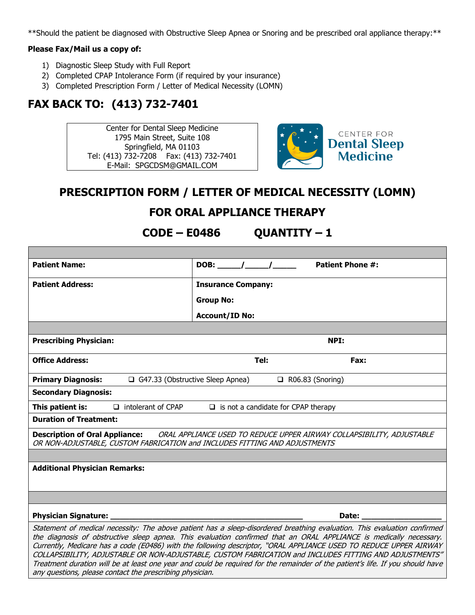\*\*Should the patient be diagnosed with Obstructive Sleep Apnea or Snoring and be prescribed oral appliance therapy:\*\*

#### **Please Fax/Mail us a copy of:**

- 1) Diagnostic Sleep Study with Full Report
- 2) Completed CPAP Intolerance Form (if required by your insurance)
- 3) Completed Prescription Form / Letter of Medical Necessity (LOMN)

# **FAX BACK TO: (413) 732-7401**

Center for Dental Sleep Medicine 1795 Main Street, Suite 108 Springfield, MA 01103 Tel: (413) 732-7208 Fax: (413) 732-7401 E-Mail: SPGCDSM@GMAIL.COM



## **PRESCRIPTION FORM / LETTER OF MEDICAL NECESSITY (LOMN)**

### **FOR ORAL APPLIANCE THERAPY**

**CODE – E0486 QUANTITY – 1**

| <b>Patient Name:</b>                                                                                                                                                                                                                                                                                                                                                                                                                                                                                                                                                                                                                                                        | <b>Patient Phone #:</b><br>DOB: $\frac{1}{\sqrt{1-\frac{1}{2}}}$ |
|-----------------------------------------------------------------------------------------------------------------------------------------------------------------------------------------------------------------------------------------------------------------------------------------------------------------------------------------------------------------------------------------------------------------------------------------------------------------------------------------------------------------------------------------------------------------------------------------------------------------------------------------------------------------------------|------------------------------------------------------------------|
| <b>Patient Address:</b>                                                                                                                                                                                                                                                                                                                                                                                                                                                                                                                                                                                                                                                     | <b>Insurance Company:</b>                                        |
|                                                                                                                                                                                                                                                                                                                                                                                                                                                                                                                                                                                                                                                                             | <b>Group No:</b>                                                 |
|                                                                                                                                                                                                                                                                                                                                                                                                                                                                                                                                                                                                                                                                             | <b>Account/ID No:</b>                                            |
|                                                                                                                                                                                                                                                                                                                                                                                                                                                                                                                                                                                                                                                                             |                                                                  |
| <b>Prescribing Physician:</b>                                                                                                                                                                                                                                                                                                                                                                                                                                                                                                                                                                                                                                               | NPI:                                                             |
| <b>Office Address:</b>                                                                                                                                                                                                                                                                                                                                                                                                                                                                                                                                                                                                                                                      | Tel:<br>Fax:                                                     |
| <b>Primary Diagnosis:</b><br>G47.33 (Obstructive Sleep Apnea)                                                                                                                                                                                                                                                                                                                                                                                                                                                                                                                                                                                                               | $\Box$ R06.83 (Snoring)                                          |
| <b>Secondary Diagnosis:</b>                                                                                                                                                                                                                                                                                                                                                                                                                                                                                                                                                                                                                                                 |                                                                  |
| This patient is:<br>$\Box$ intolerant of CPAP                                                                                                                                                                                                                                                                                                                                                                                                                                                                                                                                                                                                                               | $\Box$ is not a candidate for CPAP therapy                       |
| <b>Duration of Treatment:</b>                                                                                                                                                                                                                                                                                                                                                                                                                                                                                                                                                                                                                                               |                                                                  |
| Description of Oral Appliance: ORAL APPLIANCE USED TO REDUCE UPPER AIRWAY COLLAPSIBILITY, ADJUSTABLE<br>OR NON-ADJUSTABLE, CUSTOM FABRICATION and INCLUDES FITTING AND ADJUSTMENTS                                                                                                                                                                                                                                                                                                                                                                                                                                                                                          |                                                                  |
|                                                                                                                                                                                                                                                                                                                                                                                                                                                                                                                                                                                                                                                                             |                                                                  |
| <b>Additional Physician Remarks:</b>                                                                                                                                                                                                                                                                                                                                                                                                                                                                                                                                                                                                                                        |                                                                  |
|                                                                                                                                                                                                                                                                                                                                                                                                                                                                                                                                                                                                                                                                             |                                                                  |
|                                                                                                                                                                                                                                                                                                                                                                                                                                                                                                                                                                                                                                                                             |                                                                  |
| <b>Physician Signature:</b>                                                                                                                                                                                                                                                                                                                                                                                                                                                                                                                                                                                                                                                 | Date:                                                            |
| Statement of medical necessity: The above patient has a sleep-disordered breathing evaluation. This evaluation confirmed<br>the diagnosis of obstructive sleep apnea. This evaluation confirmed that an ORAL APPLIANCE is medically necessary.<br>Currently, Medicare has a code (E0486) with the following descriptor, "ORAL APPLIANCE USED TO REDUCE UPPER AIRWAY<br>COLLAPSIBILITY, ADJUSTABLE OR NON-ADJUSTABLE, CUSTOM FABRICATION and INCLUDES FITTING AND ADJUSTMENTS"<br>Treatment duration will be at least one year and could be required for the remainder of the patient's life. If you should have<br>any questions, please contact the prescribing physician. |                                                                  |